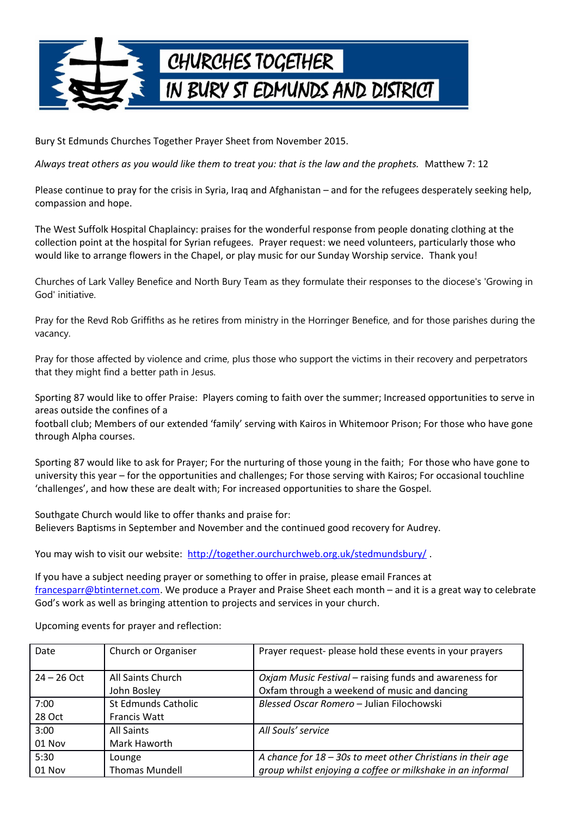

Bury St Edmunds Churches Together Prayer Sheet from November 2015.

*Always treat others as you would like them to treat you: that is the law and the prophets.* Matthew 7: 12

Please continue to pray for the crisis in Syria, Iraq and Afghanistan – and for the refugees desperately seeking help, compassion and hope.

The West Suffolk Hospital Chaplaincy: praises for the wonderful response from people donating clothing at the collection point at the hospital for Syrian refugees. Prayer request: we need volunteers, particularly those who would like to arrange flowers in the Chapel, or play music for our Sunday Worship service. Thank you!

Churches of Lark Valley Benefice and North Bury Team as they formulate their responses to the diocese's 'Growing in God' initiative.

Pray for the Revd Rob Griffiths as he retires from ministry in the Horringer Benefice, and for those parishes during the vacancy.

Pray for those affected by violence and crime, plus those who support the victims in their recovery and perpetrators that they might find a better path in Jesus.

Sporting 87 would like to offer Praise: Players coming to faith over the summer; Increased opportunities to serve in areas outside the confines of a

football club; Members of our extended 'family' serving with Kairos in Whitemoor Prison; For those who have gone through Alpha courses.

Sporting 87 would like to ask for Prayer; For the nurturing of those young in the faith; For those who have gone to university this year – for the opportunities and challenges; For those serving with Kairos; For occasional touchline 'challenges', and how these are dealt with; For increased opportunities to share the Gospel.

Southgate Church would like to offer thanks and praise for: Believers Baptisms in September and November and the continued good recovery for Audrey.

You may wish to visit our website: http://together.ourchurchweb.org.uk/stedmundsbury/

If you have a subject needing prayer or something to offer in praise, please email Frances at [francesparr@btinternet.com.](mailto:francesparr@btinternet.com) We produce a Prayer and Praise Sheet each month – and it is a great way to celebrate God's work as well as bringing attention to projects and services in your church.

Upcoming events for prayer and reflection:

| Date          | Church or Organiser              | Prayer request- please hold these events in your prayers                                               |
|---------------|----------------------------------|--------------------------------------------------------------------------------------------------------|
| $24 - 26$ Oct | All Saints Church<br>John Bosley | Oxjam Music Festival - raising funds and awareness for<br>Oxfam through a weekend of music and dancing |
| 7:00          | St Edmunds Catholic              | Blessed Oscar Romero - Julian Filochowski                                                              |
| 28 Oct        | <b>Francis Watt</b>              |                                                                                                        |
| 3:00          | <b>All Saints</b>                | All Souls' service                                                                                     |
| $01$ Nov      | Mark Haworth                     |                                                                                                        |
| 5:30          | Lounge                           | A chance for $18 - 30s$ to meet other Christians in their age                                          |
| 01 Nov        | <b>Thomas Mundell</b>            | group whilst enjoying a coffee or milkshake in an informal                                             |